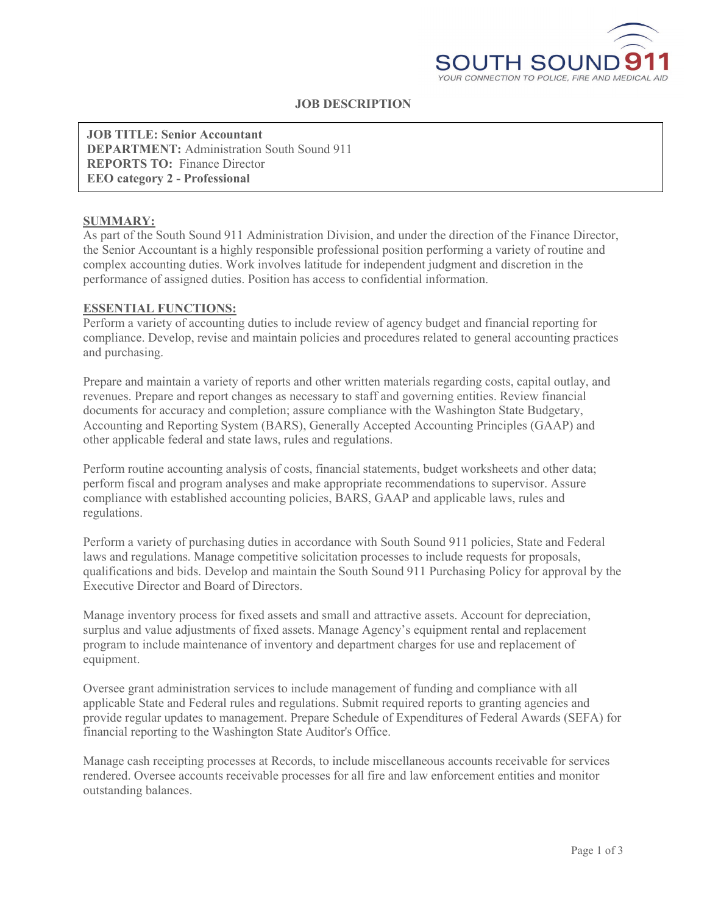

# **JOB DESCRIPTION**

**JOB TITLE: Senior Accountant DEPARTMENT:** Administration South Sound 911 **REPORTS TO:** Finance Director **EEO category 2 - Professional**

#### **SUMMARY:**

As part of the South Sound 911 Administration Division, and under the direction of the Finance Director, the Senior Accountant is a highly responsible professional position performing a variety of routine and complex accounting duties. Work involves latitude for independent judgment and discretion in the performance of assigned duties. Position has access to confidential information.

#### **ESSENTIAL FUNCTIONS:**

Perform a variety of accounting duties to include review of agency budget and financial reporting for compliance. Develop, revise and maintain policies and procedures related to general accounting practices and purchasing.

Prepare and maintain a variety of reports and other written materials regarding costs, capital outlay, and revenues. Prepare and report changes as necessary to staff and governing entities. Review financial documents for accuracy and completion; assure compliance with the Washington State Budgetary, Accounting and Reporting System (BARS), Generally Accepted Accounting Principles (GAAP) and other applicable federal and state laws, rules and regulations.

Perform routine accounting analysis of costs, financial statements, budget worksheets and other data; perform fiscal and program analyses and make appropriate recommendations to supervisor. Assure compliance with established accounting policies, BARS, GAAP and applicable laws, rules and regulations.

Perform a variety of purchasing duties in accordance with South Sound 911 policies, State and Federal laws and regulations. Manage competitive solicitation processes to include requests for proposals, qualifications and bids. Develop and maintain the South Sound 911 Purchasing Policy for approval by the Executive Director and Board of Directors.

Manage inventory process for fixed assets and small and attractive assets. Account for depreciation, surplus and value adjustments of fixed assets. Manage Agency's equipment rental and replacement program to include maintenance of inventory and department charges for use and replacement of equipment.

Oversee grant administration services to include management of funding and compliance with all applicable State and Federal rules and regulations. Submit required reports to granting agencies and provide regular updates to management. Prepare Schedule of Expenditures of Federal Awards (SEFA) for financial reporting to the Washington State Auditor's Office.

Manage cash receipting processes at Records, to include miscellaneous accounts receivable for services rendered. Oversee accounts receivable processes for all fire and law enforcement entities and monitor outstanding balances.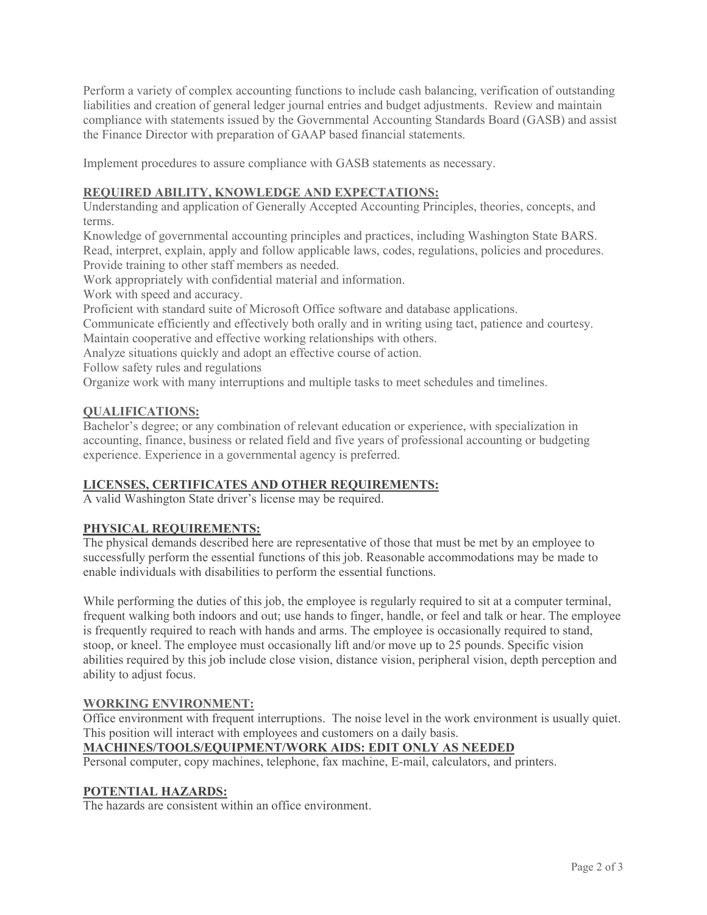Perform a variety of complex accounting functions to include cash balancing, verification of outstanding liabilities and creation of general ledger journal entries and budget adjustments. Review and maintain compliance with statements issued by the Governmental Accounting Standards Board (GASB) and assist the Finance Director with preparation of GAAP based financial statements.

Implement procedures to assure compliance with GASB statements as necessary.

# **REQUIRED ABILITY, KNOWLEDGE AND EXPECTATIONS:**

Understanding and application of Generally Accepted Accounting Principles, theories, concepts, and terms.

Knowledge of governmental accounting principles and practices, including Washington State BARS. Read, interpret, explain, apply and follow applicable laws, codes, regulations, policies and procedures. Provide training to other staff members as needed.

Work appropriately with confidential material and information.

Work with speed and accuracy.

Proficient with standard suite of Microsoft Office software and database applications.

Communicate efficiently and effectively both orally and in writing using tact, patience and courtesy. Maintain cooperative and effective working relationships with others.

Analyze situations quickly and adopt an effective course of action.

Follow safety rules and regulations

Organize work with many interruptions and multiple tasks to meet schedules and timelines.

#### **QUALIFICATIONS:**

Bachelor's degree; or any combination of relevant education or experience, with specialization in accounting, finance, business or related field and five years of professional accounting or budgeting experience. Experience in a governmental agency is preferred.

### **LICENSES, CERTIFICATES AND OTHER REQUIREMENTS:**

A valid Washington State driver's license may be required.

### **PHYSICAL REQUIREMENTS:**

The physical demands described here are representative of those that must be met by an employee to successfully perform the essential functions of this job. Reasonable accommodations may be made to enable individuals with disabilities to perform the essential functions.

While performing the duties of this job, the employee is regularly required to sit at a computer terminal, frequent walking both indoors and out; use hands to finger, handle, or feel and talk or hear. The employee is frequently required to reach with hands and arms. The employee is occasionally required to stand, stoop, or kneel. The employee must occasionally lift and/or move up to 25 pounds. Specific vision abilities required by this job include close vision, distance vision, peripheral vision, depth perception and ability to adjust focus.

#### **WORKING ENVIRONMENT:**

Office environment with frequent interruptions. The noise level in the work environment is usually quiet. This position will interact with employees and customers on a daily basis.

# **MACHINES/TOOLS/EQUIPMENT/WORK AIDS: EDIT ONLY AS NEEDED**

Personal computer, copy machines, telephone, fax machine, E-mail, calculators, and printers.

### **POTENTIAL HAZARDS:**

The hazards are consistent within an office environment.